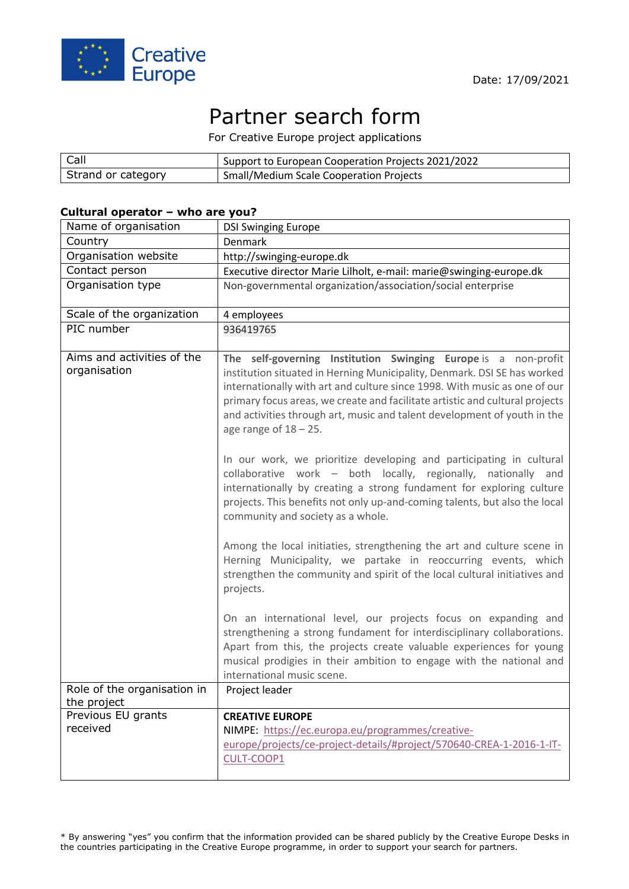

# Partner search form

For Creative Europe project applications

| $ $ Call           | Support to European Cooperation Projects 2021/2022 |
|--------------------|----------------------------------------------------|
| Strand or category | <b>Small/Medium Scale Cooperation Projects</b>     |

#### **Cultural operator – who are you?**

| Name of organisation                       | <b>DSI Swinging Europe</b>                                                                                                                                                                                                                                                                                                                                                                                      |
|--------------------------------------------|-----------------------------------------------------------------------------------------------------------------------------------------------------------------------------------------------------------------------------------------------------------------------------------------------------------------------------------------------------------------------------------------------------------------|
| Country                                    | Denmark                                                                                                                                                                                                                                                                                                                                                                                                         |
| Organisation website                       | http://swinging-europe.dk                                                                                                                                                                                                                                                                                                                                                                                       |
| Contact person                             | Executive director Marie Lilholt, e-mail: marie@swinging-europe.dk                                                                                                                                                                                                                                                                                                                                              |
| Organisation type                          | Non-governmental organization/association/social enterprise                                                                                                                                                                                                                                                                                                                                                     |
| Scale of the organization                  | 4 employees                                                                                                                                                                                                                                                                                                                                                                                                     |
| PIC number                                 | 936419765                                                                                                                                                                                                                                                                                                                                                                                                       |
| Aims and activities of the<br>organisation | The self-governing Institution Swinging Europe is a non-profit<br>institution situated in Herning Municipality, Denmark. DSI SE has worked<br>internationally with art and culture since 1998. With music as one of our<br>primary focus areas, we create and facilitate artistic and cultural projects<br>and activities through art, music and talent development of youth in the<br>age range of $18 - 25$ . |
|                                            | In our work, we prioritize developing and participating in cultural<br>collaborative work - both locally, regionally, nationally and<br>internationally by creating a strong fundament for exploring culture<br>projects. This benefits not only up-and-coming talents, but also the local<br>community and society as a whole.                                                                                 |
|                                            | Among the local initiaties, strengthening the art and culture scene in<br>Herning Municipality, we partake in reoccurring events, which<br>strengthen the community and spirit of the local cultural initiatives and<br>projects.                                                                                                                                                                               |
|                                            | On an international level, our projects focus on expanding and<br>strengthening a strong fundament for interdisciplinary collaborations.<br>Apart from this, the projects create valuable experiences for young<br>musical prodigies in their ambition to engage with the national and<br>international music scene.                                                                                            |
| Role of the organisation in<br>the project | Project leader                                                                                                                                                                                                                                                                                                                                                                                                  |
| Previous EU grants<br>received             | <b>CREATIVE EUROPE</b><br>NIMPE: https://ec.europa.eu/programmes/creative-<br>europe/projects/ce-project-details/#project/570640-CREA-1-2016-1-IT-<br>CULT-COOP1                                                                                                                                                                                                                                                |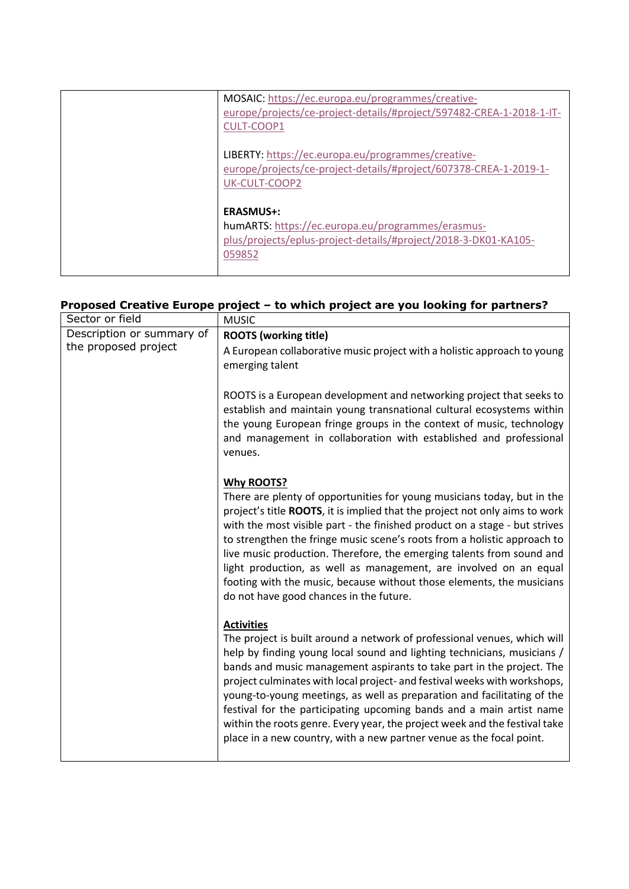| MOSAIC: https://ec.europa.eu/programmes/creative-<br>europe/projects/ce-project-details/#project/597482-CREA-1-2018-1-IT-<br>CULT-COOP1            |
|----------------------------------------------------------------------------------------------------------------------------------------------------|
| LIBERTY: https://ec.europa.eu/programmes/creative-<br>europe/projects/ce-project-details/#project/607378-CREA-1-2019-1-<br>UK-CULT-COOP2           |
| <b>ERASMUS+:</b><br>humARTS: https://ec.europa.eu/programmes/erasmus-<br>plus/projects/eplus-project-details/#project/2018-3-DK01-KA105-<br>059852 |

## **Proposed Creative Europe project – to which project are you looking for partners?**

| Sector or field           | <b>MUSIC</b>                                                                                                                                                                                                                                                                                                                                                                                                                                                                                                                                                                                                                            |
|---------------------------|-----------------------------------------------------------------------------------------------------------------------------------------------------------------------------------------------------------------------------------------------------------------------------------------------------------------------------------------------------------------------------------------------------------------------------------------------------------------------------------------------------------------------------------------------------------------------------------------------------------------------------------------|
| Description or summary of | <b>ROOTS (working title)</b>                                                                                                                                                                                                                                                                                                                                                                                                                                                                                                                                                                                                            |
| the proposed project      | A European collaborative music project with a holistic approach to young<br>emerging talent                                                                                                                                                                                                                                                                                                                                                                                                                                                                                                                                             |
|                           | ROOTS is a European development and networking project that seeks to<br>establish and maintain young transnational cultural ecosystems within<br>the young European fringe groups in the context of music, technology<br>and management in collaboration with established and professional<br>venues.                                                                                                                                                                                                                                                                                                                                   |
|                           | <b>Why ROOTS?</b><br>There are plenty of opportunities for young musicians today, but in the<br>project's title ROOTS, it is implied that the project not only aims to work<br>with the most visible part - the finished product on a stage - but strives<br>to strengthen the fringe music scene's roots from a holistic approach to<br>live music production. Therefore, the emerging talents from sound and<br>light production, as well as management, are involved on an equal<br>footing with the music, because without those elements, the musicians<br>do not have good chances in the future.                                 |
|                           | <b>Activities</b><br>The project is built around a network of professional venues, which will<br>help by finding young local sound and lighting technicians, musicians /<br>bands and music management aspirants to take part in the project. The<br>project culminates with local project- and festival weeks with workshops,<br>young-to-young meetings, as well as preparation and facilitating of the<br>festival for the participating upcoming bands and a main artist name<br>within the roots genre. Every year, the project week and the festival take<br>place in a new country, with a new partner venue as the focal point. |